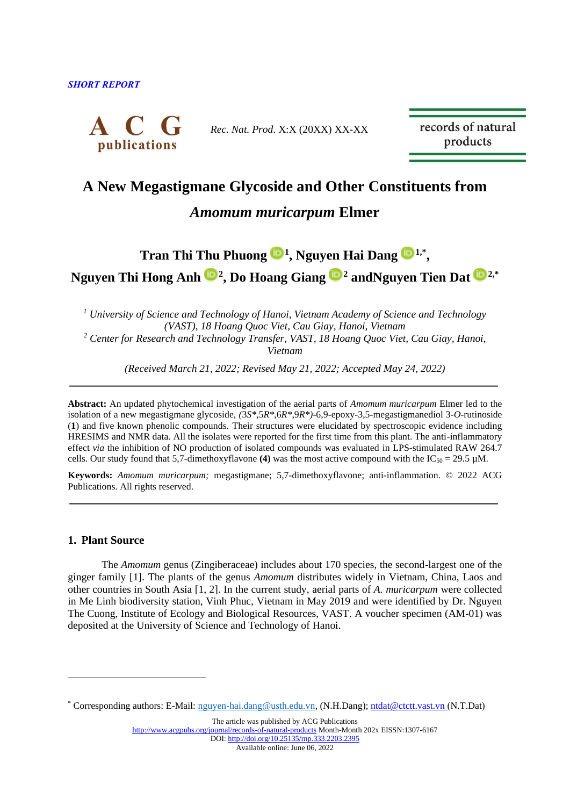

*Rec. Nat. Prod*. X:X (20XX) XX-XX

records of natural products

# **A New Megastigmane Glycoside and Other Constituents from**

# *Amomum muricarpum* **Elmer**

# **Tran Thi Thu Phuong [1](https://orcid.org/0000-0003-1726-5673) , Nguyen Hai Dang 1,\* , Nguyen Thi Hong Anh [2](https://orcid.org/0000-0001-5788-8352) , Do Hoang Giang [2](https://orcid.org/0000-0001-9227-6992) andNguyen Tien Dat [2](https://orcid.org/0000-0003-3645-5157),\***

*<sup>1</sup> University of Science and Technology of Hanoi, Vietnam Academy of Science and Technology (VAST), 18 Hoang Quoc Viet, Cau Giay, Hanoi, Vietnam <sup>2</sup> Center for Research and Technology Transfer, VAST, 18 Hoang Quoc Viet, Cau Giay, Hanoi, Vietnam*

*(Received March 21, 2022; Revised May 21, 2022; Accepted May 24, 2022)*

**Abstract:** An updated phytochemical investigation of the aerial parts of *Amomum muricarpum* Elmer led to the isolation of a new megastigmane glycoside, *(*3*S\**,5*R\**,6*R\**,9*R\*)*-6,9-epoxy-3,5-megastigmanediol 3-*O*-rutinoside (**1**) and five known phenolic compounds. Their structures were elucidated by spectroscopic evidence including HRESIMS and NMR data. All the isolates were reported for the first time from this plant. The anti-inflammatory effect *via* the inhibition of NO production of isolated compounds was evaluated in LPS-stimulated RAW 264.7 cells. Our study found that 5,7-dimethoxyflavone **(4)** was the most active compound with the  $IC_{50} = 29.5 \mu M$ .

**Keywords:** *Amomum muricarpum;* megastigmane; 5,7-dimethoxyflavone; anti-inflammation. © 2022 ACG Publications. All rights reserved.

## **1. Plant Source**

The *Amomum* genus (Zingiberaceae) includes about 170 species, the second-largest one of the ginger family [1]. The plants of the genus *Amomum* distributes widely in Vietnam, China, Laos and other countries in South Asia [1, 2]. In the current study, aerial parts of *A. muricarpum* were collected in Me Linh biodiversity station, Vinh Phuc, Vietnam in May 2019 and were identified by Dr. Nguyen The Cuong, Institute of Ecology and Biological Resources, VAST. A voucher specimen (AM-01) was deposited at the University of Science and Technology of Hanoi.

The article was published by ACG Publications <http://www.acgpubs.org/journal/records-of-natural-products> Month-Month 202x EISSN:1307-6167 DOI[: http://doi.org/10.25135/rnp.333.2203.2395](http://doi.org/10.25135/rnp.333.2203.2395) Available online: June 06, 2022

<sup>\*</sup> Corresponding authors: E-Mail: [nguyen-hai.dang@usth.edu.vn,](mailto:nguyen-hai.dang@usth.edu.vn) (N.H.Dang); [ntdat@ctctt.vast.vn](mailto:ntdat@ctctt.vast.vn) (N.T.Dat)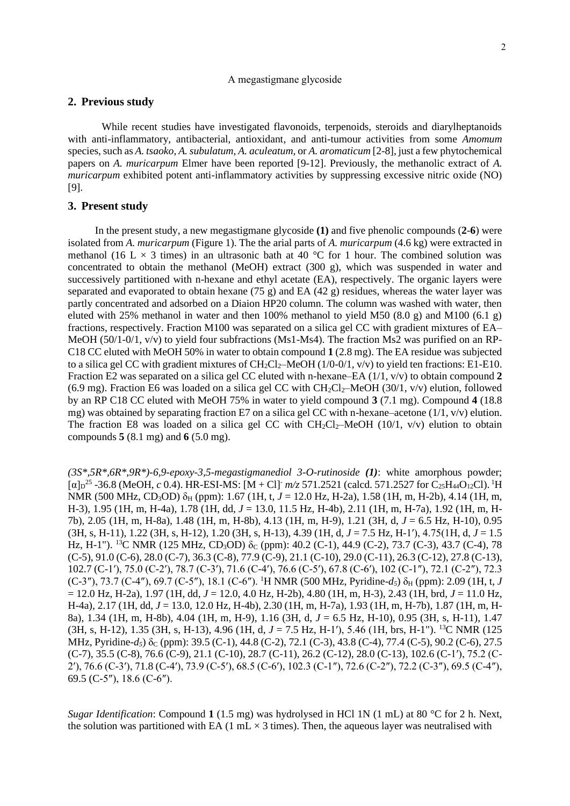#### A megastigmane glycoside

### **2. Previous study**

While recent studies have investigated flavonoids, terpenoids, steroids and diarylheptanoids with anti-inflammatory, antibacterial, antioxidant, and anti-tumour activities from some *Amomum*  species, such as *A. tsaoko*, *A. subulatum*, *A. aculeatum,* or *A. aromaticum* [2-8], just a few phytochemical papers on *A. muricarpum* Elmer have been reported [9-12]. Previously, the methanolic extract of *A. muricarpum* exhibited potent anti-inflammatory activities by suppressing excessive nitric oxide (NO) [9].

## **3. Present study**

In the present study, a new megastigmane glycoside **(1)** and five phenolic compounds (**2**-**6**) were isolated from *A. muricarpum* (Figure 1). The the arial parts of *A. muricarpum* (4.6 kg) were extracted in methanol (16 L  $\times$  3 times) in an ultrasonic bath at 40 °C for 1 hour. The combined solution was concentrated to obtain the methanol (MeOH) extract (300 g), which was suspended in water and successively partitioned with n-hexane and ethyl acetate (EA), respectively. The organic layers were separated and evaporated to obtain hexane (75 g) and EA (42 g) residues, whereas the water layer was partly concentrated and adsorbed on a Diaion HP20 column. The column was washed with water, then eluted with 25% methanol in water and then 100% methanol to yield M50 (8.0 g) and M100 (6.1 g) fractions, respectively. Fraction M100 was separated on a silica gel CC with gradient mixtures of EA– MeOH (50/1-0/1, v/v) to yield four subfractions (Ms1-Ms4). The fraction Ms2 was purified on an RP-C18 CC eluted with MeOH 50% in water to obtain compound **1** (2.8 mg). The EA residue was subjected to a silica gel CC with gradient mixtures of CH<sub>2</sub>Cl<sub>2</sub>–MeOH (1/0-0/1,  $v/v$ ) to yield ten fractions: E1-E10. Fraction E2 was separated on a silica gel CC eluted with n-hexane–EA (1/1, v/v) to obtain compound **2**  (6.9 mg). Fraction E6 was loaded on a silica gel CC with  $CH_2Cl_2$ –MeOH (30/1, v/v) elution, followed by an RP C18 CC eluted with MeOH 75% in water to yield compound **3** (7.1 mg). Compound **4** (18.8 mg) was obtained by separating fraction E7 on a silica gel CC with n-hexane–acetone (1/1, v/v) elution. The fraction E8 was loaded on a silica gel CC with  $CH_2Cl_2$ –MeOH (10/1, v/v) elution to obtain compounds **5** (8.1 mg) and **6** (5.0 mg).

*(3S\*,5R\*,6R\*,9R\*)-6,9-epoxy-3,5-megastigmanediol 3-O-rutinoside (1)*: white amorphous powder;  $[\alpha]_D^{25}$  -36.8 (MeOH, *c* 0.4). HR-ESI-MS:  $[M + Cl]$ <sup>-</sup>  $m/z$  571.2521 (calcd. 571.2527 for C<sub>25</sub>H<sub>44</sub>O<sub>12</sub>Cl). <sup>1</sup>H NMR (500 MHz, CD<sub>3</sub>OD) δ<sub>H</sub> (ppm): 1.67 (1H, t, *J* = 12.0 Hz, H-2a), 1.58 (1H, m, H-2b), 4.14 (1H, m, H-3), 1.95 (1H, m, H-4a), 1.78 (1H, dd, *J* = 13.0, 11.5 Hz, H-4b), 2.11 (1H, m, H-7a), 1.92 (1H, m, H-7b), 2.05 (1H, m, H-8a), 1.48 (1H, m, H-8b), 4.13 (1H, m, H-9), 1.21 (3H, d, *J* = 6.5 Hz, H-10), 0.95 (3H, s, H-11), 1.22 (3H, s, H-12), 1.20 (3H, s, H-13), 4.39 (1H, d, *J* = 7.5 Hz, H-1′), 4.75(1H, d, *J* = 1.5 Hz, H-1"). <sup>13</sup>C NMR (125 MHz, CD<sub>3</sub>OD)  $\delta$ <sub>C</sub> (ppm): 40.2 (C-1), 44.9 (C-2), 73.7 (C-3), 43.7 (C-4), 78 (C-5), 91.0 (C-6), 28.0 (C-7), 36.3 (C-8), 77.9 (C-9), 21.1 (C-10), 29.0 (C-11), 26.3 (C-12), 27.8 (C-13), 102.7 (C-1′), 75.0 (C-2′), 78.7 (C-3′), 71.6 (C-4′), 76.6 (C-5′), 67.8 (C-6′), 102 (C-1″), 72.1 (C-2″), 72.3  $(C-3'')$ , 73.7  $(C-4'')$ , 69.7  $(C-5'')$ , 18.1  $(C-6'')$ . <sup>1</sup>H NMR (500 MHz, Pyridine-*d<sub>5</sub>*)  $\delta_H$  (ppm): 2.09 (1H, t, *J* = 12.0 Hz, H-2a), 1.97 (1H, dd, *J* = 12.0, 4.0 Hz, H-2b), 4.80 (1H, m, H-3), 2.43 (1H, brd, *J* = 11.0 Hz, H-4a), 2.17 (1H, dd, *J* = 13.0, 12.0 Hz, H-4b), 2.30 (1H, m, H-7a), 1.93 (1H, m, H-7b), 1.87 (1H, m, H-8a), 1.34 (1H, m, H-8b), 4.04 (1H, m, H-9), 1.16 (3H, d, *J* = 6.5 Hz, H-10), 0.95 (3H, s, H-11), 1.47 (3H, s, H-12), 1.35 (3H, s, H-13), 4.96 (1H, d, *J* = 7.5 Hz, H-1′), 5.46 (1H, brs, H-1"). <sup>13</sup>C NMR (125 MHz, Pyridine-*d<sub>5</sub>*) δ<sub>C</sub> (ppm): 39.5 (C-1), 44.8 (C-2), 72.1 (C-3), 43.8 (C-4), 77.4 (C-5), 90.2 (C-6), 27.5 (C-7), 35.5 (C-8), 76.6 (C-9), 21.1 (C-10), 28.7 (C-11), 26.2 (C-12), 28.0 (C-13), 102.6 (C-1′), 75.2 (C-2′), 76.6 (C-3′), 71.8 (C-4′), 73.9 (C-5′), 68.5 (C-6′), 102.3 (C-1″), 72.6 (C-2″), 72.2 (C-3″), 69.5 (C-4″), 69.5 (C-5″), 18.6 (C-6″).

*Sugar Identification*: Compound **1** (1.5 mg) was hydrolysed in HCl 1N (1 mL) at 80 °C for 2 h. Next, the solution was partitioned with EA (1 mL  $\times$  3 times). Then, the aqueous layer was neutralised with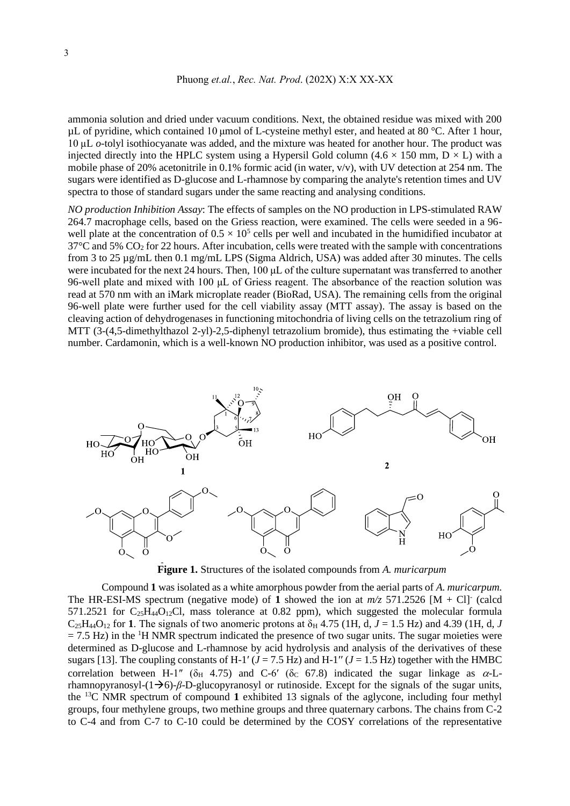ammonia solution and dried under vacuum conditions. Next, the obtained residue was mixed with 200  $\mu$ L of pyridine, which contained 10  $\mu$ mol of L-cysteine methyl ester, and heated at 80 °C. After 1 hour, 10 µL *o*-tolyl isothiocyanate was added, and the mixture was heated for another hour. The product was injected directly into the HPLC system using a Hypersil Gold column (4.6  $\times$  150 mm, D  $\times$  L) with a mobile phase of 20% acetonitrile in 0.1% formic acid (in water, v/v), with UV detection at 254 nm. The sugars were identified as D-glucose and L-rhamnose by comparing the analyte's retention times and UV spectra to those of standard sugars under the same reacting and analysing conditions.

*NO production Inhibition Assay*: The effects of samples on the NO production in LPS-stimulated RAW 264.7 macrophage cells, based on the Griess reaction, were examined. The cells were seeded in a 96 well plate at the concentration of  $0.5 \times 10^5$  cells per well and incubated in the humidified incubator at 37°C and 5% CO<sup>2</sup> for 22 hours. After incubation, cells were treated with the sample with concentrations from 3 to 25 µg/mL then 0.1 mg/mL LPS (Sigma Aldrich, USA) was added after 30 minutes. The cells were incubated for the next 24 hours. Then, 100 μL of the culture supernatant was transferred to another 96-well plate and mixed with 100 μL of Griess reagent. The absorbance of the reaction solution was read at 570 nm with an iMark microplate reader (BioRad, USA). The remaining cells from the original 96-well plate were further used for the cell viability assay (MTT assay). The assay is based on the cleaving action of dehydrogenases in functioning mitochondria of living cells on the tetrazolium ring of MTT (3-(4,5-dimethylthazol 2-yl)-2,5-diphenyl tetrazolium bromide), thus estimating the +viable cell number. Cardamonin, which is a well-known NO production inhibitor, was used as a positive control.



**Figure 1.** Structures of the isolated compounds from *A. muricarpum*

Compound **1** was isolated as a white amorphous powder from the aerial parts of *A. muricarpum.*  The HR-ESI-MS spectrum (negative mode) of 1 showed the ion at  $m/z$  571.2526 [M + Cl] (calcd 571.2521 for  $C_{25}H_{44}O_{12}Cl$ , mass tolerance at 0.82 ppm), which suggested the molecular formula  $C_{25}H_{44}O_{12}$  for 1. The signals of two anomeric protons at  $\delta_H$  4.75 (1H, d, *J* = 1.5 Hz) and 4.39 (1H, d, *J*  $= 7.5$  Hz) in the <sup>1</sup>H NMR spectrum indicated the presence of two sugar units. The sugar moieties were determined as D-glucose and L-rhamnose by acid hydrolysis and analysis of the derivatives of these sugars [13]. The coupling constants of H-1'  $(J = 7.5 \text{ Hz})$  and H-1"  $(J = 1.5 \text{ Hz})$  together with the HMBC correlation between H-1" ( $\delta_H$  4.75) and C-6' ( $\delta_C$  67.8) indicated the sugar linkage as  $\alpha$ -Lrhamnopyranosyl-(1→6)-*β*-D-glucopyranosyl or rutinoside. Except for the signals of the sugar units, the <sup>13</sup>C NMR spectrum of compound **1** exhibited 13 signals of the aglycone, including four methyl groups, four methylene groups, two methine groups and three quaternary carbons. The chains from C-2 to C-4 and from C-7 to C-10 could be determined by the COSY correlations of the representative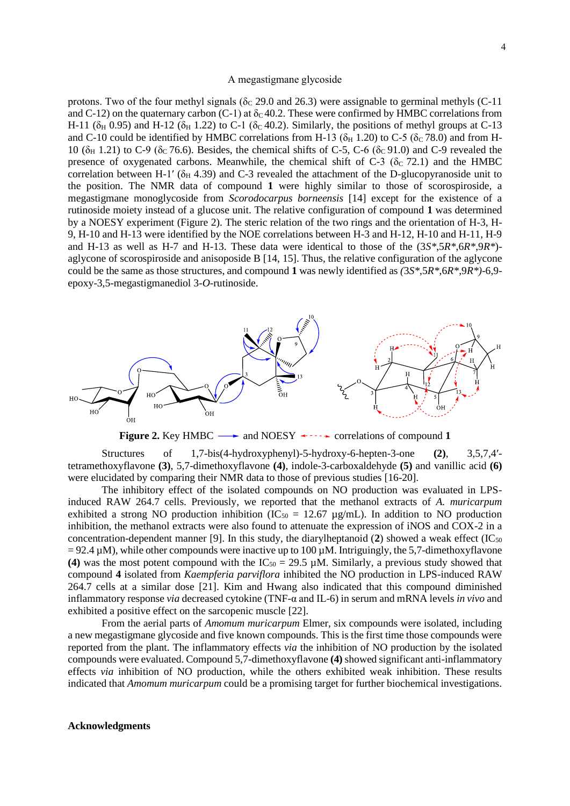#### A megastigmane glycoside

protons. Two of the four methyl signals ( $\delta_c$  29.0 and 26.3) were assignable to germinal methyls (C-11 and C-12) on the quaternary carbon (C-1) at  $\delta_c$  40.2. These were confirmed by HMBC correlations from H-11 ( $\delta_H$  0.95) and H-12 ( $\delta_H$  1.22) to C-1 ( $\delta_C$  40.2). Similarly, the positions of methyl groups at C-13 and C-10 could be identified by HMBC correlations from H-13 ( $\delta_H$  1.20) to C-5 ( $\delta_C$  78.0) and from H-10 ( $\delta_H$  1.21) to C-9 ( $\delta_C$  76.6). Besides, the chemical shifts of C-5, C-6 ( $\delta_C$  91.0) and C-9 revealed the presence of oxygenated carbons. Meanwhile, the chemical shift of C-3 ( $\delta$ c 72.1) and the HMBC correlation between H-1' ( $\delta_H$  4.39) and C-3 revealed the attachment of the D-glucopyranoside unit to the position. The NMR data of compound **1** were highly similar to those of scorospiroside, a megastigmane monoglycoside from *Scorodocarpus borneensis* [14] except for the existence of a rutinoside moiety instead of a glucose unit. The relative configuration of compound **1** was determined by a NOESY experiment (Figure 2). The steric relation of the two rings and the orientation of H-3, H-9, H-10 and H-13 were identified by the NOE correlations between H-3 and H-12, H-10 and H-11, H-9 and H-13 as well as H-7 and H-13. These data were identical to those of the (3*S\**,5*R\**,6*R\**,9*R\**) aglycone of scorospiroside and anisoposide B [14, 15]. Thus, the relative configuration of the aglycone could be the same as those structures, and compound **1** was newly identified as *(*3*S\**,5*R\**,6*R\**,9*R\*)*-6,9 epoxy-3,5-megastigmanediol 3-*O*-rutinoside.



**Figure 2.** Key HMBC  $\longrightarrow$  and NOESY  $\longleftarrow$  correlations of compound 1

Structures of 1,7-bis(4-hydroxyphenyl)-5-hydroxy-6-hepten-3-one **(2)**, 3,5,7,4′ tetramethoxyflavone **(3)**, 5,7-dimethoxyflavone **(4)**, indole-3-carboxaldehyde **(5)** and vanillic acid **(6)** were elucidated by comparing their NMR data to those of previous studies [16-20].

The inhibitory effect of the isolated compounds on NO production was evaluated in LPSinduced RAW 264.7 cells. Previously, we reported that the methanol extracts of *A. muricarpum* exhibited a strong NO production inhibition (IC<sub>50</sub> = 12.67  $\mu$ g/mL). In addition to NO production inhibition, the methanol extracts were also found to attenuate the expression of iNOS and COX-2 in a concentration-dependent manner [9]. In this study, the diarylheptanoid  $(2)$  showed a weak effect  $(IC_{50})$  $= 92.4 \mu M$ ), while other compounds were inactive up to 100  $\mu$ M. Intriguingly, the 5,7-dimethoxyflavone (4) was the most potent compound with the  $IC_{50} = 29.5 \mu M$ . Similarly, a previous study showed that compound **4** isolated from *Kaempferia parviflora* inhibited the NO production in LPS-induced RAW 264.7 cells at a similar dose [21]. Kim and Hwang also indicated that this compound diminished inflammatory response *via* decreased cytokine (TNF-α and IL-6) in serum and mRNA levels *in vivo* and exhibited a positive effect on the sarcopenic muscle [22].

From the aerial parts of *Amomum muricarpum* Elmer, six compounds were isolated, including a new megastigmane glycoside and five known compounds. This is the first time those compounds were reported from the plant. The inflammatory effects *via* the inhibition of NO production by the isolated compounds were evaluated. Compound 5,7-dimethoxyflavone **(4)** showed significant anti-inflammatory effects *via* inhibition of NO production, while the others exhibited weak inhibition. These results indicated that *Amomum muricarpum* could be a promising target for further biochemical investigations.

#### **Acknowledgments**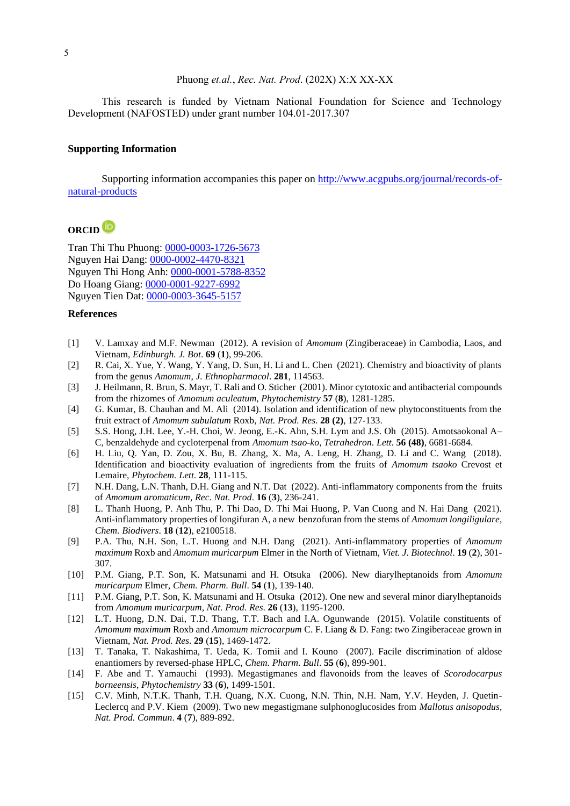#### Phuong *et.al.*, *Rec. Nat. Prod*. (202X) X:X XX-XX

This research is funded by Vietnam National Foundation for Science and Technology Development (NAFOSTED) under grant number 104.01-2017.307

#### **Supporting Information**

Supporting information accompanies this paper on [http://www.acgpubs.org/journal/records-of](http://www.acgpubs.org/journal/records-of-natural-products)[natural-products](http://www.acgpubs.org/journal/records-of-natural-products)

# **ORCID**

Tran Thi Thu Phuong: [0000-0003-1726-5673](https://orcid.org/0000-0003-1726-5673) Nguyen Hai Dang[: 0000-0002-4470-8321](https://orcid.org/0000-0002-4470-8321) Nguyen Thi Hong Anh: [0000-0001-5788-8352](https://orcid.org/0000-0001-5788-8352) Do Hoang Giang: [0000-0001-9227-6992](https://orcid.org/0000-0001-9227-6992) Nguyen Tien Dat: [0000-0003-3645-5157](https://orcid.org/0000-0003-3645-5157)

#### **References**

- [1] V. Lamxay and M.F. Newman (2012). A revision of *Amomum* (Zingiberaceae) in Cambodia, Laos, and Vietnam, *Edinburgh. J. Bot*. **69** (**1**), 99-206.
- [2] R. Cai, X. Yue, Y. Wang, Y. Yang, D. Sun, H. Li and L. Chen (2021). Chemistry and bioactivity of plants from the genus *Amomum*, *J. Ethnopharmacol*. **281**, 114563.
- [3] J. Heilmann, R. Brun, S. Mayr, T. Rali and O. Sticher (2001). Minor cytotoxic and antibacterial compounds from the rhizomes of *Amomum aculeatum*, *Phytochemistry* **57** (**8**), 1281-1285.
- [4] G. Kumar, B. Chauhan and M. Ali (2014). Isolation and identification of new phytoconstituents from the fruit extract of *Amomum subulatum* Roxb, *Nat. Prod. Res*. **28 (2)**, 127-133.
- [5] S.S. Hong, J.H. Lee, Y.-H. Choi, W. Jeong, E.-K. Ahn, S.H. Lym and J.S. Oh (2015). Amotsaokonal A– C, benzaldehyde and cycloterpenal from *Amomum tsao-ko*, *Tetrahedron. Lett*. **56 (48)**, 6681-6684.
- [6] H. Liu, Q. Yan, D. Zou, X. Bu, B. Zhang, X. Ma, A. Leng, H. Zhang, D. Li and C. Wang (2018). Identification and bioactivity evaluation of ingredients from the fruits of *Amomum tsaoko* Crevost et Lemaire, *Phytochem. Lett*. **28**, 111-115.
- [7] N.H. Dang, L.N. Thanh, D.H. Giang and N.T. Dat (2022). Anti-inflammatory components from the fruits of *Amomum aromaticum*, *Rec. Nat. Prod*. **16** (**3**), 236-241.
- [8] L. Thanh Huong, P. Anh Thu, P. Thi Dao, D. Thi Mai Huong, P. Van Cuong and N. Hai Dang (2021). Anti-inflammatory properties of longifuran A, a new benzofuran from the stems of *Amomum longiligulare*, *Chem. Biodivers*. **18** (**12**), e2100518.
- [9] P.A. Thu, N.H. Son, L.T. Huong and N.H. Dang (2021). Anti-inflammatory properties of *Amomum maximum* Roxb and *Amomum muricarpum* Elmer in the North of Vietnam, *Viet. J. Biotechnol*. **19** (**2**), 301- 307.
- [10] P.M. Giang, P.T. Son, K. Matsunami and H. Otsuka (2006). New diarylheptanoids from *Amomum muricarpum* Elmer, *Chem. Pharm. Bull*. **54** (**1**), 139-140.
- [11] P.M. Giang, P.T. Son, K. Matsunami and H. Otsuka (2012). One new and several minor diarylheptanoids from *Amomum muricarpum*, *Nat. Prod. Res*. **26** (**13**), 1195-1200.
- [12] L.T. Huong, D.N. Dai, T.D. Thang, T.T. Bach and I.A. Ogunwande (2015). Volatile constituents of *Amomum maximum* Roxb and *Amomum microcarpum* C. F. Liang & D. Fang: two Zingiberaceae grown in Vietnam, *Nat. Prod. Res*. **29** (**15**), 1469-1472.
- [13] T. Tanaka, T. Nakashima, T. Ueda, K. Tomii and I. Kouno (2007). Facile discrimination of aldose enantiomers by reversed-phase HPLC, *Chem. Pharm. Bull*. **55** (**6**), 899-901.
- [14] F. Abe and T. Yamauchi (1993). Megastigmanes and flavonoids from the leaves of *Scorodocarpus borneensis*, *Phytochemistry* **33** (**6**), 1499-1501.
- [15] C.V. Minh, N.T.K. Thanh, T.H. Quang, N.X. Cuong, N.N. Thin, N.H. Nam, Y.V. Heyden, J. Quetin-Leclercq and P.V. Kiem (2009). Two new megastigmane sulphonoglucosides from *Mallotus anisopodus*, *Nat. Prod. Commun*. **4** (**7**), 889-892.